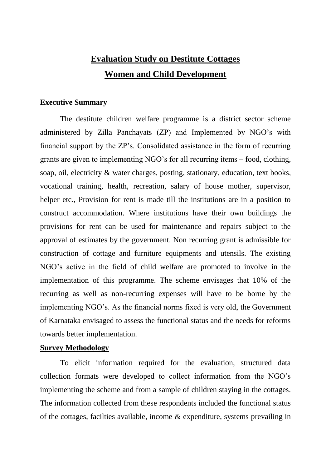# **Evaluation Study on Destitute Cottages Women and Child Development**

### **Executive Summary**

The destitute children welfare programme is a district sector scheme administered by Zilla Panchayats (ZP) and Implemented by NGO's with financial support by the ZP's. Consolidated assistance in the form of recurring grants are given to implementing NGO's for all recurring items – food, clothing, soap, oil, electricity & water charges, posting, stationary, education, text books, vocational training, health, recreation, salary of house mother, supervisor, helper etc., Provision for rent is made till the institutions are in a position to construct accommodation. Where institutions have their own buildings the provisions for rent can be used for maintenance and repairs subject to the approval of estimates by the government. Non recurring grant is admissible for construction of cottage and furniture equipments and utensils. The existing NGO's active in the field of child welfare are promoted to involve in the implementation of this programme. The scheme envisages that 10% of the recurring as well as non-recurring expenses will have to be borne by the implementing NGO's. As the financial norms fixed is very old, the Government of Karnataka envisaged to assess the functional status and the needs for reforms towards better implementation.

### **Survey Methodology**

To elicit information required for the evaluation, structured data collection formats were developed to collect information from the NGO's implementing the scheme and from a sample of children staying in the cottages. The information collected from these respondents included the functional status of the cottages, facilties available, income & expenditure, systems prevailing in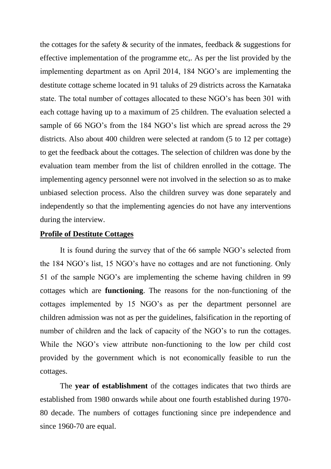the cottages for the safety  $\&$  security of the inmates, feedback  $\&$  suggestions for effective implementation of the programme etc,. As per the list provided by the implementing department as on April 2014, 184 NGO's are implementing the destitute cottage scheme located in 91 taluks of 29 districts across the Karnataka state. The total number of cottages allocated to these NGO's has been 301 with each cottage having up to a maximum of 25 children. The evaluation selected a sample of 66 NGO's from the 184 NGO's list which are spread across the 29 districts. Also about 400 children were selected at random (5 to 12 per cottage) to get the feedback about the cottages. The selection of children was done by the evaluation team member from the list of children enrolled in the cottage. The implementing agency personnel were not involved in the selection so as to make unbiased selection process. Also the children survey was done separately and independently so that the implementing agencies do not have any interventions during the interview.

#### **Profile of Destitute Cottages**

It is found during the survey that of the 66 sample NGO's selected from the 184 NGO's list, 15 NGO's have no cottages and are not functioning. Only 51 of the sample NGO's are implementing the scheme having children in 99 cottages which are **functioning**. The reasons for the non-functioning of the cottages implemented by 15 NGO's as per the department personnel are children admission was not as per the guidelines, falsification in the reporting of number of children and the lack of capacity of the NGO's to run the cottages. While the NGO's view attribute non-functioning to the low per child cost provided by the government which is not economically feasible to run the cottages.

The **year of establishment** of the cottages indicates that two thirds are established from 1980 onwards while about one fourth established during 1970- 80 decade. The numbers of cottages functioning since pre independence and since 1960-70 are equal.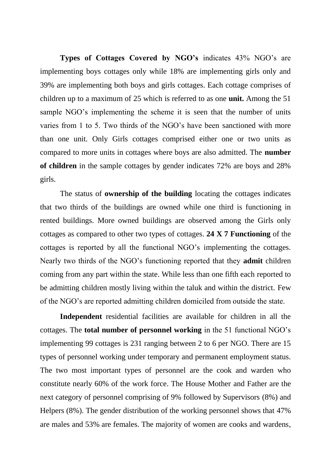**Types of Cottages Covered by NGO's** indicates 43% NGO's are implementing boys cottages only while 18% are implementing girls only and 39% are implementing both boys and girls cottages. Each cottage comprises of children up to a maximum of 25 which is referred to as one **unit.** Among the 51 sample NGO's implementing the scheme it is seen that the number of units varies from 1 to 5. Two thirds of the NGO's have been sanctioned with more than one unit. Only Girls cottages comprised either one or two units as compared to more units in cottages where boys are also admitted. The **number of children** in the sample cottages by gender indicates 72% are boys and 28% girls.

The status of **ownership of the building** locating the cottages indicates that two thirds of the buildings are owned while one third is functioning in rented buildings. More owned buildings are observed among the Girls only cottages as compared to other two types of cottages. **24 X 7 Functioning** of the cottages is reported by all the functional NGO's implementing the cottages. Nearly two thirds of the NGO's functioning reported that they **admit** children coming from any part within the state. While less than one fifth each reported to be admitting children mostly living within the taluk and within the district. Few of the NGO's are reported admitting children domiciled from outside the state.

**Independent** residential facilities are available for children in all the cottages. The **total number of personnel working** in the 51 functional NGO's implementing 99 cottages is 231 ranging between 2 to 6 per NGO. There are 15 types of personnel working under temporary and permanent employment status. The two most important types of personnel are the cook and warden who constitute nearly 60% of the work force. The House Mother and Father are the next category of personnel comprising of 9% followed by Supervisors (8%) and Helpers (8%). The gender distribution of the working personnel shows that 47% are males and 53% are females. The majority of women are cooks and wardens,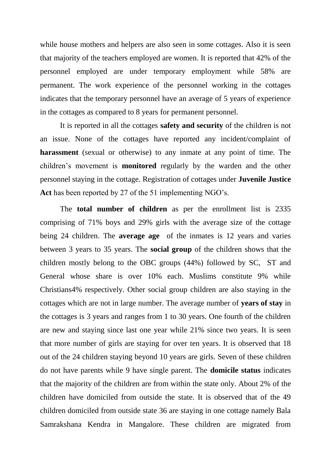while house mothers and helpers are also seen in some cottages. Also it is seen that majority of the teachers employed are women. It is reported that 42% of the personnel employed are under temporary employment while 58% are permanent. The work experience of the personnel working in the cottages indicates that the temporary personnel have an average of 5 years of experience in the cottages as compared to 8 years for permanent personnel.

It is reported in all the cottages **safety and security** of the children is not an issue. None of the cottages have reported any incident/complaint of **harassment** (sexual or otherwise) to any inmate at any point of time. The children's movement is **monitored** regularly by the warden and the other personnel staying in the cottage. Registration of cottages under **Juvenile Justice Act** has been reported by 27 of the 51 implementing NGO's.

The **total number of children** as per the enrollment list is 2335 comprising of 71% boys and 29% girls with the average size of the cottage being 24 children. The **average age** of the inmates is 12 years and varies between 3 years to 35 years. The **social group** of the children shows that the children mostly belong to the OBC groups (44%) followed by SC, ST and General whose share is over 10% each. Muslims constitute 9% while Christians4% respectively. Other social group children are also staying in the cottages which are not in large number. The average number of **years of stay** in the cottages is 3 years and ranges from 1 to 30 years. One fourth of the children are new and staying since last one year while 21% since two years. It is seen that more number of girls are staying for over ten years. It is observed that 18 out of the 24 children staying beyond 10 years are girls. Seven of these children do not have parents while 9 have single parent. The **domicile status** indicates that the majority of the children are from within the state only. About 2% of the children have domiciled from outside the state. It is observed that of the 49 children domiciled from outside state 36 are staying in one cottage namely Bala Samrakshana Kendra in Mangalore. These children are migrated from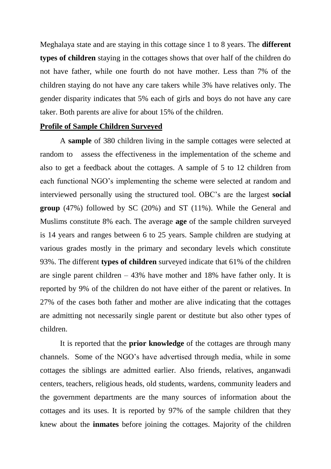Meghalaya state and are staying in this cottage since 1 to 8 years. The **different types of children** staying in the cottages shows that over half of the children do not have father, while one fourth do not have mother. Less than 7% of the children staying do not have any care takers while 3% have relatives only. The gender disparity indicates that 5% each of girls and boys do not have any care taker. Both parents are alive for about 15% of the children.

#### **Profile of Sample Children Surveyed**

A **sample** of 380 children living in the sample cottages were selected at random to assess the effectiveness in the implementation of the scheme and also to get a feedback about the cottages. A sample of 5 to 12 children from each functional NGO's implementing the scheme were selected at random and interviewed personally using the structured tool. OBC's are the largest **social group** (47%) followed by SC (20%) and ST (11%). While the General and Muslims constitute 8% each. The average **age** of the sample children surveyed is 14 years and ranges between 6 to 25 years. Sample children are studying at various grades mostly in the primary and secondary levels which constitute 93%. The different **types of children** surveyed indicate that 61% of the children are single parent children  $-43\%$  have mother and 18% have father only. It is reported by 9% of the children do not have either of the parent or relatives. In 27% of the cases both father and mother are alive indicating that the cottages are admitting not necessarily single parent or destitute but also other types of children.

It is reported that the **prior knowledge** of the cottages are through many channels. Some of the NGO's have advertised through media, while in some cottages the siblings are admitted earlier. Also friends, relatives, anganwadi centers, teachers, religious heads, old students, wardens, community leaders and the government departments are the many sources of information about the cottages and its uses. It is reported by 97% of the sample children that they knew about the **inmates** before joining the cottages. Majority of the children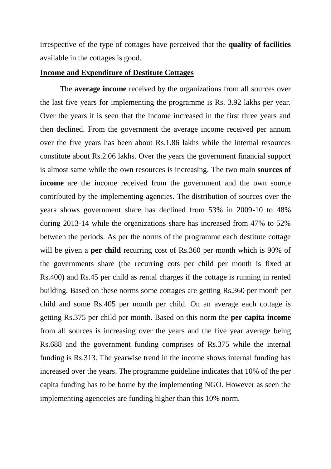irrespective of the type of cottages have perceived that the **quality of facilities** available in the cottages is good.

#### **Income and Expenditure of Destitute Cottages**

The **average income** received by the organizations from all sources over the last five years for implementing the programme is Rs. 3.92 lakhs per year. Over the years it is seen that the income increased in the first three years and then declined. From the government the average income received per annum over the five years has been about Rs.1.86 lakhs while the internal resources constitute about Rs.2.06 lakhs. Over the years the government financial support is almost same while the own resources is increasing. The two main **sources of income** are the income received from the government and the own source contributed by the implementing agencies. The distribution of sources over the years shows government share has declined from 53% in 2009-10 to 48% during 2013-14 while the organizations share has increased from 47% to 52% between the periods. As per the norms of the programme each destitute cottage will be given a **per child** recurring cost of Rs.360 per month which is 90% of the governments share (the recurring cots per child per month is fixed at Rs.400) and Rs.45 per child as rental charges if the cottage is running in rented building. Based on these norms some cottages are getting Rs.360 per month per child and some Rs.405 per month per child. On an average each cottage is getting Rs.375 per child per month. Based on this norm the **per capita income**  from all sources is increasing over the years and the five year average being Rs.688 and the government funding comprises of Rs.375 while the internal funding is Rs.313. The yearwise trend in the income shows internal funding has increased over the years. The programme guideline indicates that 10% of the per capita funding has to be borne by the implementing NGO. However as seen the implementing agenceies are funding higher than this 10% norm.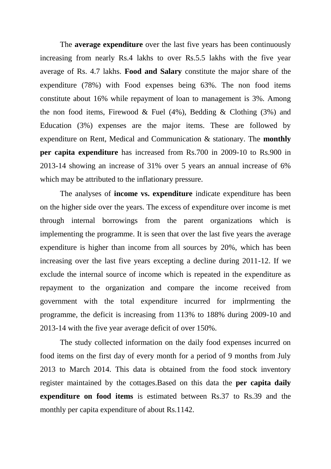The **average expenditure** over the last five years has been continuously increasing from nearly Rs.4 lakhs to over Rs.5.5 lakhs with the five year average of Rs. 4.7 lakhs. **Food and Salary** constitute the major share of the expenditure (78%) with Food expenses being 63%. The non food items constitute about 16% while repayment of loan to management is 3%. Among the non food items, Firewood & Fuel  $(4\%)$ , Bedding & Clothing  $(3\%)$  and Education (3%) expenses are the major items. These are followed by expenditure on Rent, Medical and Communication & stationary. The **monthly per capita expenditure** has increased from Rs.700 in 2009-10 to Rs.900 in 2013-14 showing an increase of 31% over 5 years an annual increase of 6% which may be attributed to the inflationary pressure.

The analyses of **income vs. expenditure** indicate expenditure has been on the higher side over the years. The excess of expenditure over income is met through internal borrowings from the parent organizations which is implementing the programme. It is seen that over the last five years the average expenditure is higher than income from all sources by 20%, which has been increasing over the last five years excepting a decline during 2011-12. If we exclude the internal source of income which is repeated in the expenditure as repayment to the organization and compare the income received from government with the total expenditure incurred for implrmenting the programme, the deficit is increasing from 113% to 188% during 2009-10 and 2013-14 with the five year average deficit of over 150%.

The study collected information on the daily food expenses incurred on food items on the first day of every month for a period of 9 months from July 2013 to March 2014. This data is obtained from the food stock inventory register maintained by the cottages.Based on this data the **per capita daily expenditure on food items** is estimated between Rs.37 to Rs.39 and the monthly per capita expenditure of about Rs.1142.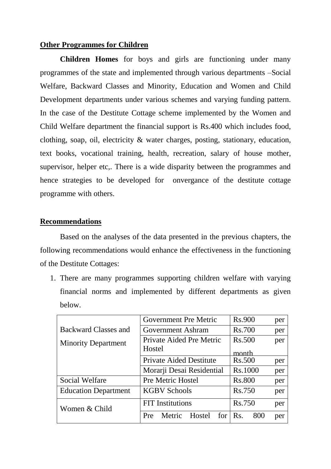#### **Other Programmes for Children**

**Children Homes** for boys and girls are functioning under many programmes of the state and implemented through various departments –Social Welfare, Backward Classes and Minority, Education and Women and Child Development departments under various schemes and varying funding pattern. In the case of the Destitute Cottage scheme implemented by the Women and Child Welfare department the financial support is Rs.400 which includes food, clothing, soap, oil, electricity & water charges, posting, stationary, education, text books, vocational training, health, recreation, salary of house mother, supervisor, helper etc,. There is a wide disparity between the programmes and hence strategies to be developed for onvergance of the destitute cottage programme with others.

#### **Recommendations**

Based on the analyses of the data presented in the previous chapters, the following recommendations would enhance the effectiveness in the functioning of the Destitute Cottages:

1. There are many programmes supporting children welfare with varying financial norms and implemented by different departments as given below.

|                             | Government Pre Metric          | <b>Rs.900</b> | per |
|-----------------------------|--------------------------------|---------------|-----|
| <b>Backward Classes and</b> | Government Ashram              | <b>Rs.700</b> | per |
| <b>Minority Department</b>  | Private Aided Pre Metric       | <b>Rs.500</b> | per |
|                             | Hostel                         | month         |     |
|                             | <b>Private Aided Destitute</b> | <b>Rs.500</b> | per |
|                             | Morarji Desai Residential      | Rs.1000       | per |
| Social Welfare              | Pre Metric Hostel              | <b>Rs.800</b> | per |
| <b>Education Department</b> | <b>KGBV Schools</b>            | Rs.750        | per |
| Women & Child               | <b>FIT</b> Institutions        | Rs.750        | per |
|                             | Hostel<br>Metric<br>for<br>Pre | Rs.<br>800    | per |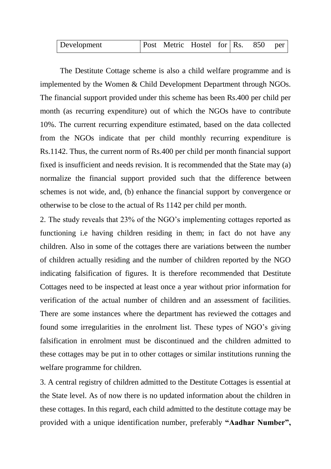| <b>Development</b> |  |  | $\vert$ Post Metric Hostel for Rs. 850 per |  |  |  |  |
|--------------------|--|--|--------------------------------------------|--|--|--|--|
|--------------------|--|--|--------------------------------------------|--|--|--|--|

The Destitute Cottage scheme is also a child welfare programme and is implemented by the Women & Child Development Department through NGOs. The financial support provided under this scheme has been Rs.400 per child per month (as recurring expenditure) out of which the NGOs have to contribute 10%. The current recurring expenditure estimated, based on the data collected from the NGOs indicate that per child monthly recurring expenditure is Rs.1142. Thus, the current norm of Rs.400 per child per month financial support fixed is insufficient and needs revision. It is recommended that the State may (a) normalize the financial support provided such that the difference between schemes is not wide, and, (b) enhance the financial support by convergence or otherwise to be close to the actual of Rs 1142 per child per month.

2. The study reveals that 23% of the NGO's implementing cottages reported as functioning i.e having children residing in them; in fact do not have any children. Also in some of the cottages there are variations between the number of children actually residing and the number of children reported by the NGO indicating falsification of figures. It is therefore recommended that Destitute Cottages need to be inspected at least once a year without prior information for verification of the actual number of children and an assessment of facilities. There are some instances where the department has reviewed the cottages and found some irregularities in the enrolment list. These types of NGO's giving falsification in enrolment must be discontinued and the children admitted to these cottages may be put in to other cottages or similar institutions running the welfare programme for children.

3. A central registry of children admitted to the Destitute Cottages is essential at the State level. As of now there is no updated information about the children in these cottages. In this regard, each child admitted to the destitute cottage may be provided with a unique identification number, preferably **"Aadhar Number",**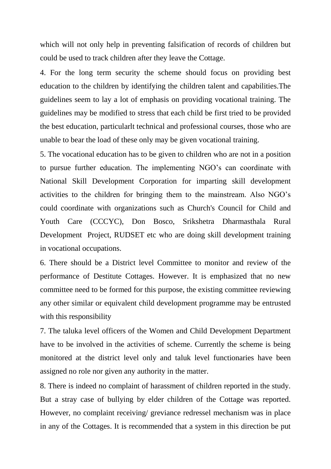which will not only help in preventing falsification of records of children but could be used to track children after they leave the Cottage.

4. For the long term security the scheme should focus on providing best education to the children by identifying the children talent and capabilities.The guidelines seem to lay a lot of emphasis on providing vocational training. The guidelines may be modified to stress that each child be first tried to be provided the best education, particularlt technical and professional courses, those who are unable to bear the load of these only may be given vocational training.

5. The vocational education has to be given to children who are not in a position to pursue further education. The implementing NGO's can coordinate with National Skill Development Corporation for imparting skill development activities to the children for bringing them to the mainstream. Also NGO's could coordinate with organizations such as Church's Council for Child and Youth Care (CCCYC), Don Bosco, Srikshetra Dharmasthala Rural Development Project, RUDSET etc who are doing skill development training in vocational occupations.

6. There should be a District level Committee to monitor and review of the performance of Destitute Cottages. However. It is emphasized that no new committee need to be formed for this purpose, the existing committee reviewing any other similar or equivalent child development programme may be entrusted with this responsibility

7. The taluka level officers of the Women and Child Development Department have to be involved in the activities of scheme. Currently the scheme is being monitored at the district level only and taluk level functionaries have been assigned no role nor given any authority in the matter.

8. There is indeed no complaint of harassment of children reported in the study. But a stray case of bullying by elder children of the Cottage was reported. However, no complaint receiving/ greviance redressel mechanism was in place in any of the Cottages. It is recommended that a system in this direction be put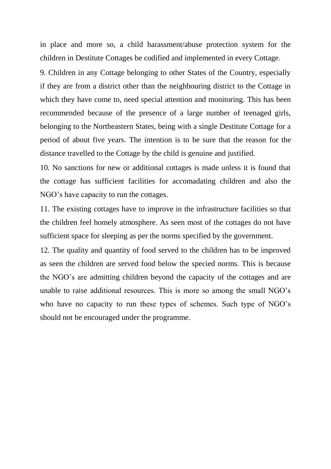in place and more so, a child harassment/abuse protection system for the children in Destitute Cottages be codified and implemented in every Cottage.

9. Children in any Cottage belonging to other States of the Country, especially if they are from a district other than the neighbouring district to the Cottage in which they have come to, need special attention and monitoring. This has been recommended because of the presence of a large number of teenaged girls, belonging to the Northeastern States, being with a single Destitute Cottage for a period of about five years. The intention is to be sure that the reason for the distance travelled to the Cottage by the child is genuine and justified.

10. No sanctions for new or additional cottages is made unless it is found that the cottage has sufficient facilities for accomadating children and also the NGO's have capacity to run the cottages.

11. The existing cottages have to improve in the infrastructure facilities so that the children feel homely atmosphere. As seen most of the cottages do not have sufficient space for sleeping as per the norms specified by the government.

12. The quality and quantity of food served to the children has to be improved as seen the children are served food below the specied norms. This is because the NGO's are admitting children beyond the capacity of the cottages and are unable to raise additional resources. This is more so among the small NGO's who have no capacity to run these types of schemes. Such type of NGO's should not be encouraged under the programme.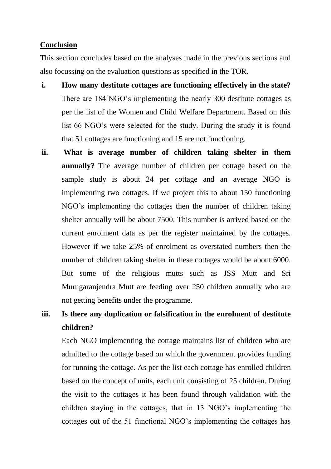#### **Conclusion**

This section concludes based on the analyses made in the previous sections and also focussing on the evaluation questions as specified in the TOR.

- **i. How many destitute cottages are functioning effectively in the state?** There are 184 NGO's implementing the nearly 300 destitute cottages as per the list of the Women and Child Welfare Department. Based on this list 66 NGO's were selected for the study. During the study it is found that 51 cottages are functioning and 15 are not functioning.
- **ii. What is average number of children taking shelter in them annually?** The average number of children per cottage based on the sample study is about 24 per cottage and an average NGO is implementing two cottages. If we project this to about 150 functioning NGO's implementing the cottages then the number of children taking shelter annually will be about 7500. This number is arrived based on the current enrolment data as per the register maintained by the cottages. However if we take 25% of enrolment as overstated numbers then the number of children taking shelter in these cottages would be about 6000. But some of the religious mutts such as JSS Mutt and Sri Murugaranjendra Mutt are feeding over 250 children annually who are not getting benefits under the programme.

# **iii. Is there any duplication or falsification in the enrolment of destitute children?**

Each NGO implementing the cottage maintains list of children who are admitted to the cottage based on which the government provides funding for running the cottage. As per the list each cottage has enrolled children based on the concept of units, each unit consisting of 25 children. During the visit to the cottages it has been found through validation with the children staying in the cottages, that in 13 NGO's implementing the cottages out of the 51 functional NGO's implementing the cottages has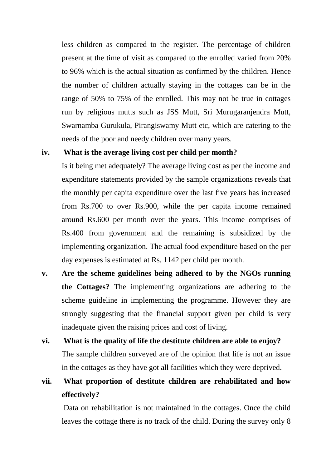less children as compared to the register. The percentage of children present at the time of visit as compared to the enrolled varied from 20% to 96% which is the actual situation as confirmed by the children. Hence the number of children actually staying in the cottages can be in the range of 50% to 75% of the enrolled. This may not be true in cottages run by religious mutts such as JSS Mutt, Sri Murugaranjendra Mutt, Swarnamba Gurukula, Pirangiswamy Mutt etc, which are catering to the needs of the poor and needy children over many years.

### **iv. What is the average living cost per child per month?**

Is it being met adequately? The average living cost as per the income and expenditure statements provided by the sample organizations reveals that the monthly per capita expenditure over the last five years has increased from Rs.700 to over Rs.900, while the per capita income remained around Rs.600 per month over the years. This income comprises of Rs.400 from government and the remaining is subsidized by the implementing organization. The actual food expenditure based on the per day expenses is estimated at Rs. 1142 per child per month.

- **v. Are the scheme guidelines being adhered to by the NGOs running the Cottages?** The implementing organizations are adhering to the scheme guideline in implementing the programme. However they are strongly suggesting that the financial support given per child is very inadequate given the raising prices and cost of living.
- **vi. What is the quality of life the destitute children are able to enjoy?** The sample children surveyed are of the opinion that life is not an issue in the cottages as they have got all facilities which they were deprived.
- **vii. What proportion of destitute children are rehabilitated and how effectively?**

Data on rehabilitation is not maintained in the cottages. Once the child leaves the cottage there is no track of the child. During the survey only 8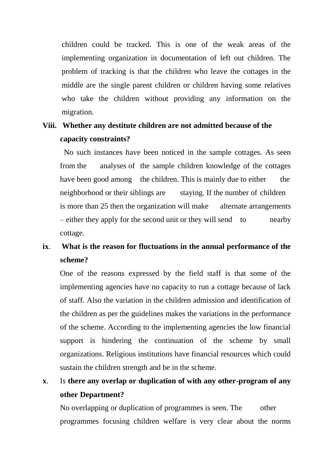children could be tracked. This is one of the weak areas of the implementing organization in documentation of left out children. The problem of tracking is that the children who leave the cottages in the middle are the single parent children or children having some relatives who take the children without providing any information on the migration.

## **Viii. Whether any destitute children are not admitted because of the capacity constraints?**

No such instances have been noticed in the sample cottages. As seen from the analyses of the sample children knowledge of the cottages have been good among the children. This is mainly due to either the neighborhood or their siblings are staying. If the number of children is more than 25 then the organization will make alternate arrangements – either they apply for the second unit or they will send to nearby cottage.

# **ix**. **What is the reason for fluctuations in the annual performance of the scheme?**

One of the reasons expressed by the field staff is that some of the implementing agencies have no capacity to run a cottage because of lack of staff. Also the variation in the children admission and identification of the children as per the guidelines makes the variations in the performance of the scheme. According to the implementing agencies the low financial support is hindering the continuation of the scheme by small organizations. Religious institutions have financial resources which could sustain the children strength and be in the scheme.

# **x**. Is **there any overlap or duplication of with any other-program of any other Department?**

No overlapping or duplication of programmes is seen. The other programmes focusing children welfare is very clear about the norms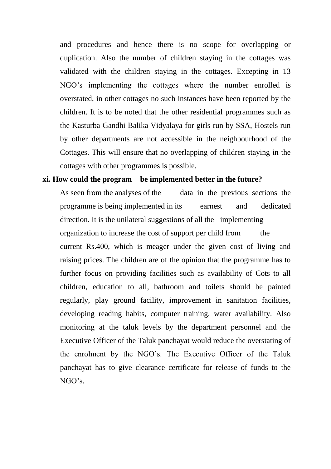and procedures and hence there is no scope for overlapping or duplication. Also the number of children staying in the cottages was validated with the children staying in the cottages. Excepting in 13 NGO's implementing the cottages where the number enrolled is overstated, in other cottages no such instances have been reported by the children. It is to be noted that the other residential programmes such as the Kasturba Gandhi Balika Vidyalaya for girls run by SSA, Hostels run by other departments are not accessible in the neighbourhood of the Cottages. This will ensure that no overlapping of children staying in the cottages with other programmes is possible.

#### **xi. How could the program be implemented better in the future?**

As seen from the analyses of the data in the previous sections the programme is being implemented in its earnest and dedicated direction. It is the unilateral suggestions of all the implementing organization to increase the cost of support per child from the current Rs.400, which is meager under the given cost of living and raising prices. The children are of the opinion that the programme has to further focus on providing facilities such as availability of Cots to all children, education to all, bathroom and toilets should be painted regularly, play ground facility, improvement in sanitation facilities, developing reading habits, computer training, water availability. Also monitoring at the taluk levels by the department personnel and the Executive Officer of the Taluk panchayat would reduce the overstating of the enrolment by the NGO's. The Executive Officer of the Taluk panchayat has to give clearance certificate for release of funds to the NGO's.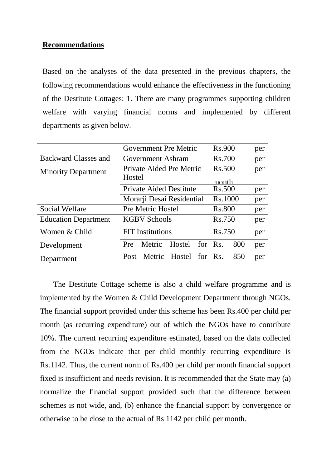### **Recommendations**

Based on the analyses of the data presented in the previous chapters, the following recommendations would enhance the effectiveness in the functioning of the Destitute Cottages: 1. There are many programmes supporting children welfare with varying financial norms and implemented by different departments as given below.

|                             | Government Pre Metric                    | <b>Rs.900</b> | per |
|-----------------------------|------------------------------------------|---------------|-----|
| Backward Classes and        | Government Ashram                        | <b>Rs.700</b> | per |
| <b>Minority Department</b>  | Private Aided Pre Metric                 | Rs.500        | per |
|                             | Hostel                                   | month         |     |
|                             | <b>Private Aided Destitute</b>           | Rs.500        | per |
|                             | Rs.1000                                  | per           |     |
| <b>Social Welfare</b>       | <b>Pre Metric Hostel</b>                 | <b>Rs.800</b> | per |
| <b>Education Department</b> | <b>KGBV Schools</b>                      | Rs.750        | per |
| Women & Child               | <b>FIT</b> Institutions                  | Rs.750        | per |
| Development                 | Hostel<br>Metric<br>for<br><b>Pre</b>    | Rs.<br>800    | per |
| Department                  | Hostel for $\mathsf{Rs}.$<br>Post Metric | 850           | per |

 The Destitute Cottage scheme is also a child welfare programme and is implemented by the Women & Child Development Department through NGOs. The financial support provided under this scheme has been Rs.400 per child per month (as recurring expenditure) out of which the NGOs have to contribute 10%. The current recurring expenditure estimated, based on the data collected from the NGOs indicate that per child monthly recurring expenditure is Rs.1142. Thus, the current norm of Rs.400 per child per month financial support fixed is insufficient and needs revision. It is recommended that the State may (a) normalize the financial support provided such that the difference between schemes is not wide, and, (b) enhance the financial support by convergence or otherwise to be close to the actual of Rs 1142 per child per month.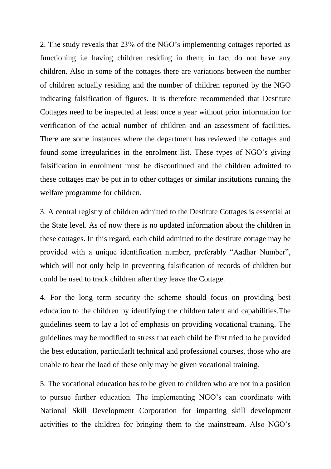2. The study reveals that 23% of the NGO's implementing cottages reported as functioning i.e having children residing in them; in fact do not have any children. Also in some of the cottages there are variations between the number of children actually residing and the number of children reported by the NGO indicating falsification of figures. It is therefore recommended that Destitute Cottages need to be inspected at least once a year without prior information for verification of the actual number of children and an assessment of facilities. There are some instances where the department has reviewed the cottages and found some irregularities in the enrolment list. These types of NGO's giving falsification in enrolment must be discontinued and the children admitted to these cottages may be put in to other cottages or similar institutions running the welfare programme for children.

3. A central registry of children admitted to the Destitute Cottages is essential at the State level. As of now there is no updated information about the children in these cottages. In this regard, each child admitted to the destitute cottage may be provided with a unique identification number, preferably "Aadhar Number", which will not only help in preventing falsification of records of children but could be used to track children after they leave the Cottage.

4. For the long term security the scheme should focus on providing best education to the children by identifying the children talent and capabilities.The guidelines seem to lay a lot of emphasis on providing vocational training. The guidelines may be modified to stress that each child be first tried to be provided the best education, particularlt technical and professional courses, those who are unable to bear the load of these only may be given vocational training.

5. The vocational education has to be given to children who are not in a position to pursue further education. The implementing NGO's can coordinate with National Skill Development Corporation for imparting skill development activities to the children for bringing them to the mainstream. Also NGO's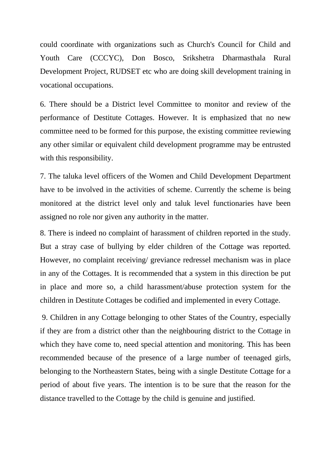could coordinate with organizations such as Church's Council for Child and Youth Care (CCCYC), Don Bosco, Srikshetra Dharmasthala Rural Development Project, RUDSET etc who are doing skill development training in vocational occupations.

6. There should be a District level Committee to monitor and review of the performance of Destitute Cottages. However. It is emphasized that no new committee need to be formed for this purpose, the existing committee reviewing any other similar or equivalent child development programme may be entrusted with this responsibility.

7. The taluka level officers of the Women and Child Development Department have to be involved in the activities of scheme. Currently the scheme is being monitored at the district level only and taluk level functionaries have been assigned no role nor given any authority in the matter.

8. There is indeed no complaint of harassment of children reported in the study. But a stray case of bullying by elder children of the Cottage was reported. However, no complaint receiving/ greviance redressel mechanism was in place in any of the Cottages. It is recommended that a system in this direction be put in place and more so, a child harassment/abuse protection system for the children in Destitute Cottages be codified and implemented in every Cottage.

9. Children in any Cottage belonging to other States of the Country, especially if they are from a district other than the neighbouring district to the Cottage in which they have come to, need special attention and monitoring. This has been recommended because of the presence of a large number of teenaged girls, belonging to the Northeastern States, being with a single Destitute Cottage for a period of about five years. The intention is to be sure that the reason for the distance travelled to the Cottage by the child is genuine and justified.